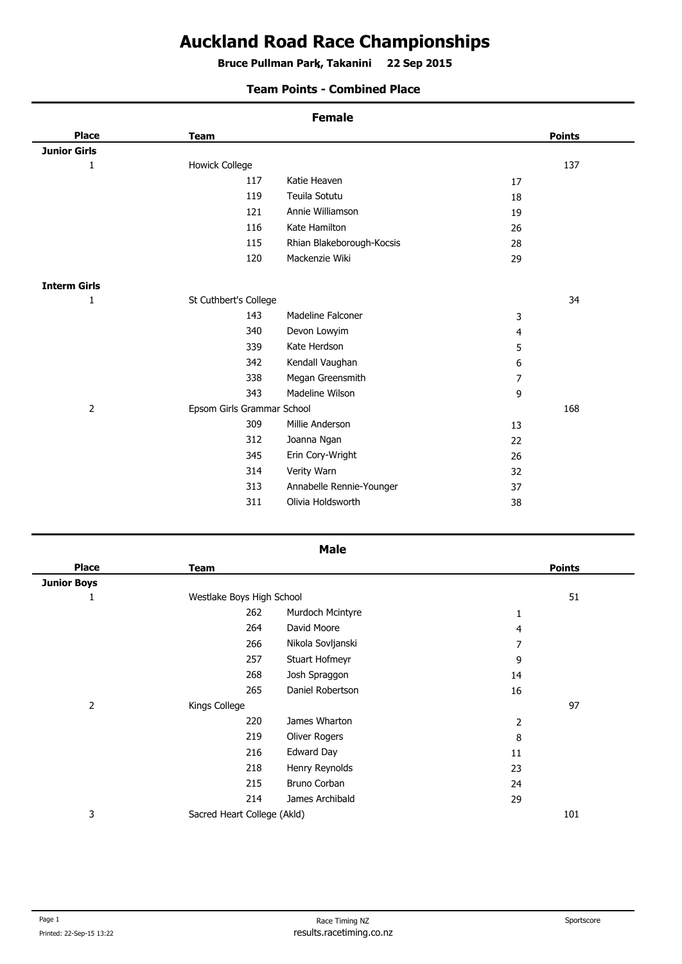## **Auckland Road Race Championships**

**Bruce Pullman Park, Takanini 22 Sep 2015 .**

## **Team Points - Combined Place**

| <b>Female</b>              |                |               |  |  |  |  |
|----------------------------|----------------|---------------|--|--|--|--|
| <b>Team</b>                |                | <b>Points</b> |  |  |  |  |
|                            |                |               |  |  |  |  |
| <b>Howick College</b>      |                |               |  |  |  |  |
|                            | 17             |               |  |  |  |  |
|                            | 18             |               |  |  |  |  |
|                            | 19             |               |  |  |  |  |
|                            | 26             |               |  |  |  |  |
|                            | 28             |               |  |  |  |  |
|                            | 29             |               |  |  |  |  |
|                            |                |               |  |  |  |  |
| St Cuthbert's College      |                |               |  |  |  |  |
|                            | 3              |               |  |  |  |  |
|                            | 4              |               |  |  |  |  |
|                            | 5              |               |  |  |  |  |
|                            | 6              |               |  |  |  |  |
|                            | $\overline{7}$ |               |  |  |  |  |
|                            | 9              |               |  |  |  |  |
| Epsom Girls Grammar School |                |               |  |  |  |  |
|                            | 13             |               |  |  |  |  |
|                            | 22             |               |  |  |  |  |
|                            | 26             |               |  |  |  |  |
|                            | 32             |               |  |  |  |  |
|                            | 37             |               |  |  |  |  |
|                            | 38             |               |  |  |  |  |
|                            |                |               |  |  |  |  |

| <b>Place</b>       | <b>Team</b>                 |                   |                | <b>Points</b> |
|--------------------|-----------------------------|-------------------|----------------|---------------|
| <b>Junior Boys</b> |                             |                   |                |               |
| 1                  | Westlake Boys High School   |                   | 51             |               |
|                    | 262                         | Murdoch Mcintyre  | 1              |               |
|                    | 264                         | David Moore       | 4              |               |
|                    | 266                         | Nikola Sovljanski | 7              |               |
|                    | 257                         | Stuart Hofmeyr    | 9              |               |
|                    | 268                         | Josh Spraggon     | 14             |               |
|                    | 265                         | Daniel Robertson  | 16             |               |
| $\overline{2}$     | Kings College               |                   |                | 97            |
|                    | 220                         | James Wharton     | $\overline{2}$ |               |
|                    | 219                         | Oliver Rogers     | 8              |               |
|                    | 216                         | Edward Day        | 11             |               |
|                    | 218                         | Henry Reynolds    | 23             |               |
|                    | 215                         | Bruno Corban      | 24             |               |
|                    | 214                         | James Archibald   | 29             |               |
| 3                  | Sacred Heart College (Akld) |                   |                | 101           |
|                    |                             |                   |                |               |